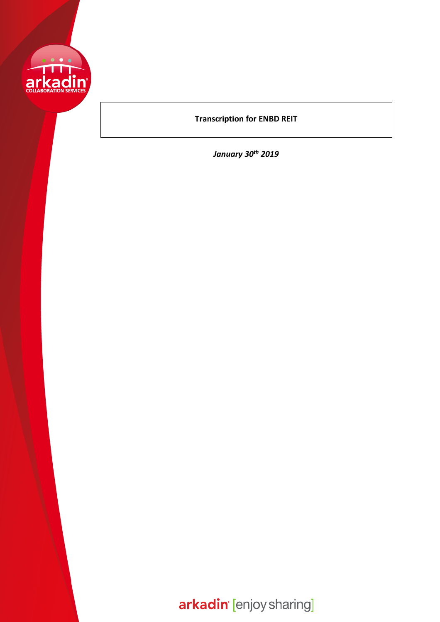

### **Transcription for ENBD REIT**

*January 30th 2019*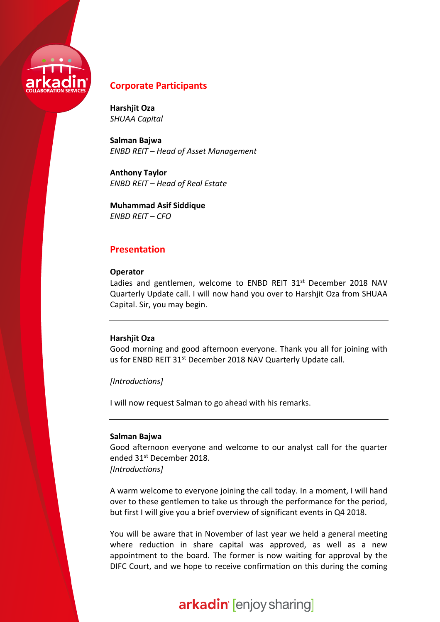

### **Corporate Participants**

**Harshjit Oza** *SHUAA Capital*

**Salman Bajwa** *ENBD REIT – Head of Asset Management*

**Anthony Taylor** *ENBD REIT – Head of Real Estate*

**Muhammad Asif Siddique** *ENBD REIT – CFO*

### **Presentation**

#### **Operator**

Ladies and gentlemen, welcome to ENBD REIT  $31<sup>st</sup>$  December 2018 NAV Quarterly Update call. I will now hand you over to Harshjit Oza from SHUAA Capital. Sir, you may begin.

#### **Harshjit Oza**

Good morning and good afternoon everyone. Thank you all for joining with us for ENBD REIT 31<sup>st</sup> December 2018 NAV Quarterly Update call.

*[Introductions]*

I will now request Salman to go ahead with his remarks.

#### **Salman Bajwa**

Good afternoon everyone and welcome to our analyst call for the quarter ended 31st December 2018. *[Introductions]*

A warm welcome to everyone joining the call today. In a moment, I will hand over to these gentlemen to take us through the performance for the period, but first I will give you a brief overview of significant events in Q4 2018.

You will be aware that in November of last year we held a general meeting where reduction in share capital was approved, as well as a new appointment to the board. The former is now waiting for approval by the DIFC Court, and we hope to receive confirmation on this during the coming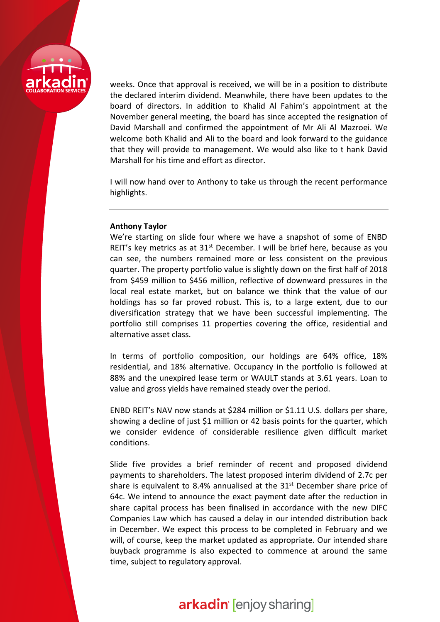

weeks. Once that approval is received, we will be in a position to distribute the declared interim dividend. Meanwhile, there have been updates to the board of directors. In addition to Khalid Al Fahim's appointment at the November general meeting, the board has since accepted the resignation of David Marshall and confirmed the appointment of Mr Ali Al Mazroei. We welcome both Khalid and Ali to the board and look forward to the guidance that they will provide to management. We would also like to t hank David Marshall for his time and effort as director.

I will now hand over to Anthony to take us through the recent performance highlights.

#### **Anthony Taylor**

We're starting on slide four where we have a snapshot of some of ENBD REIT's key metrics as at  $31<sup>st</sup>$  December. I will be brief here, because as you can see, the numbers remained more or less consistent on the previous quarter. The property portfolio value is slightly down on the first half of 2018 from \$459 million to \$456 million, reflective of downward pressures in the local real estate market, but on balance we think that the value of our holdings has so far proved robust. This is, to a large extent, due to our diversification strategy that we have been successful implementing. The portfolio still comprises 11 properties covering the office, residential and alternative asset class.

In terms of portfolio composition, our holdings are 64% office, 18% residential, and 18% alternative. Occupancy in the portfolio is followed at 88% and the unexpired lease term or WAULT stands at 3.61 years. Loan to value and gross yields have remained steady over the period.

ENBD REIT's NAV now stands at \$284 million or \$1.11 U.S. dollars per share, showing a decline of just \$1 million or 42 basis points for the quarter, which we consider evidence of considerable resilience given difficult market conditions.

Slide five provides a brief reminder of recent and proposed dividend payments to shareholders. The latest proposed interim dividend of 2.7c per share is equivalent to 8.4% annualised at the  $31<sup>st</sup>$  December share price of 64c. We intend to announce the exact payment date after the reduction in share capital process has been finalised in accordance with the new DIFC Companies Law which has caused a delay in our intended distribution back in December. We expect this process to be completed in February and we will, of course, keep the market updated as appropriate. Our intended share buyback programme is also expected to commence at around the same time, subject to regulatory approval.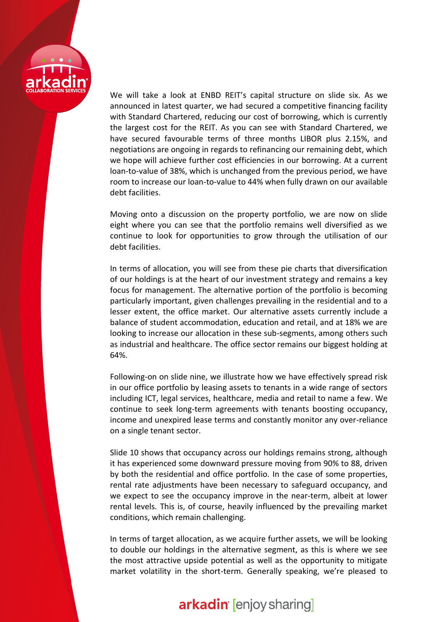

We will take a look at ENBD REIT's capital structure on slide six. As we announced in latest quarter, we had secured a competitive financing facility with Standard Chartered, reducing our cost of borrowing, which is currently the largest cost for the REIT. As you can see with Standard Chartered, we have secured favourable terms of three months LIBOR plus 2.15%, and negotiations are ongoing in regards to refinancing our remaining debt, which we hope will achieve further cost efficiencies in our borrowing. At a current loan-to-value of 38%, which is unchanged from the previous period, we have room to increase our loan-to-value to 44% when fully drawn on our available debt facilities.

Moving onto a discussion on the property portfolio, we are now on slide eight where you can see that the portfolio remains well diversified as we continue to look for opportunities to grow through the utilisation of our debt facilities.

In terms of allocation, you will see from these pie charts that diversification of our holdings is at the heart of our investment strategy and remains a key focus for management. The alternative portion of the portfolio is becoming particularly important, given challenges prevailing in the residential and to a lesser extent, the office market. Our alternative assets currently include a balance of student accommodation, education and retail, and at 18% we are looking to increase our allocation in these sub-segments, among others such as industrial and healthcare. The office sector remains our biggest holding at 64%.

Following-on on slide nine, we illustrate how we have effectively spread risk in our office portfolio by leasing assets to tenants in a wide range of sectors including ICT, legal services, healthcare, media and retail to name a few. We continue to seek long-term agreements with tenants boosting occupancy, income and unexpired lease terms and constantly monitor any over-reliance on a single tenant sector.

Slide 10 shows that occupancy across our holdings remains strong, although it has experienced some downward pressure moving from 90% to 88, driven by both the residential and office portfolio. In the case of some properties, rental rate adjustments have been necessary to safeguard occupancy, and we expect to see the occupancy improve in the near-term, albeit at lower rental levels. This is, of course, heavily influenced by the prevailing market conditions, which remain challenging.

In terms of target allocation, as we acquire further assets, we will be looking to double our holdings in the alternative segment, as this is where we see the most attractive upside potential as well as the opportunity to mitigate market volatility in the short-term. Generally speaking, we're pleased to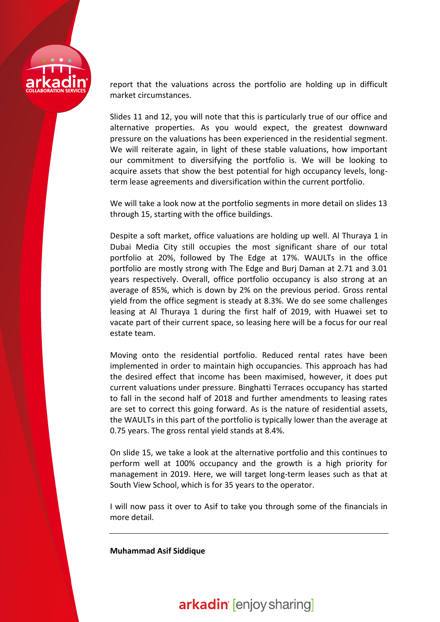

report that the valuations across the portfolio are holding up in difficult market circumstances.

Slides 11 and 12, you will note that this is particularly true of our office and alternative properties. As you would expect, the greatest downward pressure on the valuations has been experienced in the residential segment. We will reiterate again, in light of these stable valuations, how important our commitment to diversifying the portfolio is. We will be looking to acquire assets that show the best potential for high occupancy levels, longterm lease agreements and diversification within the current portfolio.

We will take a look now at the portfolio segments in more detail on slides 13 through 15, starting with the office buildings.

Despite a soft market, office valuations are holding up well. Al Thuraya 1 in Dubai Media City still occupies the most significant share of our total portfolio at 20%, followed by The Edge at 17%. WAULTs in the office portfolio are mostly strong with The Edge and Burj Daman at 2.71 and 3.01 years respectively. Overall, office portfolio occupancy is also strong at an average of 85%, which is down by 2% on the previous period. Gross rental yield from the office segment is steady at 8.3%. We do see some challenges leasing at Al Thuraya 1 during the first half of 2019, with Huawei set to vacate part of their current space, so leasing here will be a focus for our real estate team.

Moving onto the residential portfolio. Reduced rental rates have been implemented in order to maintain high occupancies. This approach has had the desired effect that income has been maximised, however, it does put current valuations under pressure. Binghatti Terraces occupancy has started to fall in the second half of 2018 and further amendments to leasing rates are set to correct this going forward. As is the nature of residential assets, the WAULTs in this part of the portfolio is typically lower than the average at 0.75 years. The gross rental yield stands at 8.4%.

On slide 15, we take a look at the alternative portfolio and this continues to perform well at 100% occupancy and the growth is a high priority for management in 2019. Here, we will target long-term leases such as that at South View School, which is for 35 years to the operator.

I will now pass it over to Asif to take you through some of the financials in more detail.

#### **Muhammad Asif Siddique**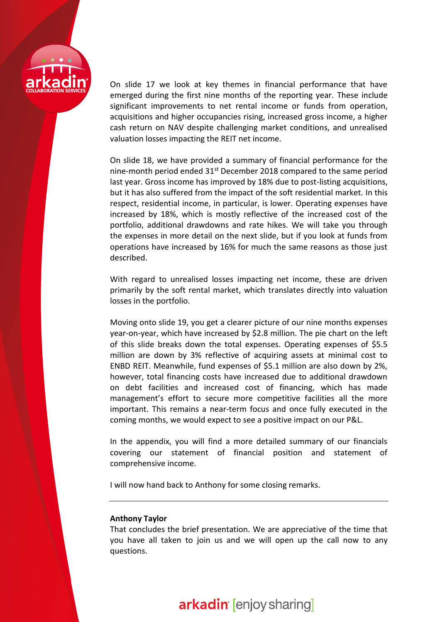

On slide 17 we look at key themes in financial performance that have emerged during the first nine months of the reporting year. These include significant improvements to net rental income or funds from operation, acquisitions and higher occupancies rising, increased gross income, a higher cash return on NAV despite challenging market conditions, and unrealised valuation losses impacting the REIT net income.

On slide 18, we have provided a summary of financial performance for the nine-month period ended  $31<sup>st</sup>$  December 2018 compared to the same period last year. Gross income has improved by 18% due to post-listing acquisitions, but it has also suffered from the impact of the soft residential market. In this respect, residential income, in particular, is lower. Operating expenses have increased by 18%, which is mostly reflective of the increased cost of the portfolio, additional drawdowns and rate hikes. We will take you through the expenses in more detail on the next slide, but if you look at funds from operations have increased by 16% for much the same reasons as those just described.

With regard to unrealised losses impacting net income, these are driven primarily by the soft rental market, which translates directly into valuation losses in the portfolio.

Moving onto slide 19, you get a clearer picture of our nine months expenses year-on-year, which have increased by \$2.8 million. The pie chart on the left of this slide breaks down the total expenses. Operating expenses of \$5.5 million are down by 3% reflective of acquiring assets at minimal cost to ENBD REIT. Meanwhile, fund expenses of \$5.1 million are also down by 2%, however, total financing costs have increased due to additional drawdown on debt facilities and increased cost of financing, which has made management's effort to secure more competitive facilities all the more important. This remains a near-term focus and once fully executed in the coming months, we would expect to see a positive impact on our P&L.

In the appendix, you will find a more detailed summary of our financials covering our statement of financial position and statement of comprehensive income.

I will now hand back to Anthony for some closing remarks.

#### **Anthony Taylor**

That concludes the brief presentation. We are appreciative of the time that you have all taken to join us and we will open up the call now to any questions.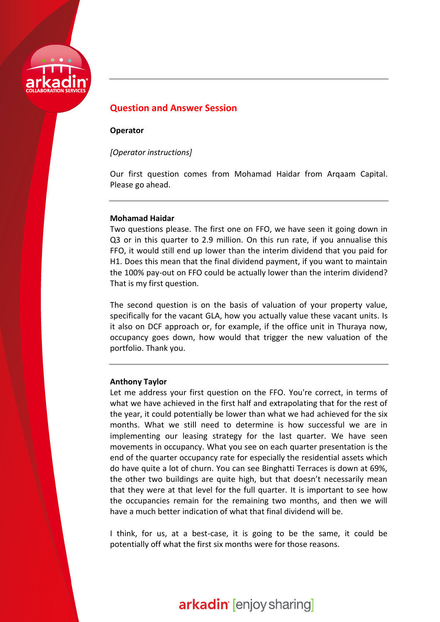

### **Question and Answer Session**

#### **Operator**

*[Operator instructions]*

Our first question comes from Mohamad Haidar from Arqaam Capital. Please go ahead.

#### **Mohamad Haidar**

Two questions please. The first one on FFO, we have seen it going down in Q3 or in this quarter to 2.9 million. On this run rate, if you annualise this FFO, it would still end up lower than the interim dividend that you paid for H1. Does this mean that the final dividend payment, if you want to maintain the 100% pay-out on FFO could be actually lower than the interim dividend? That is my first question.

The second question is on the basis of valuation of your property value, specifically for the vacant GLA, how you actually value these vacant units. Is it also on DCF approach or, for example, if the office unit in Thuraya now, occupancy goes down, how would that trigger the new valuation of the portfolio. Thank you.

#### **Anthony Taylor**

Let me address your first question on the FFO. You're correct, in terms of what we have achieved in the first half and extrapolating that for the rest of the year, it could potentially be lower than what we had achieved for the six months. What we still need to determine is how successful we are in implementing our leasing strategy for the last quarter. We have seen movements in occupancy. What you see on each quarter presentation is the end of the quarter occupancy rate for especially the residential assets which do have quite a lot of churn. You can see Binghatti Terraces is down at 69%, the other two buildings are quite high, but that doesn't necessarily mean that they were at that level for the full quarter. It is important to see how the occupancies remain for the remaining two months, and then we will have a much better indication of what that final dividend will be.

I think, for us, at a best-case, it is going to be the same, it could be potentially off what the first six months were for those reasons.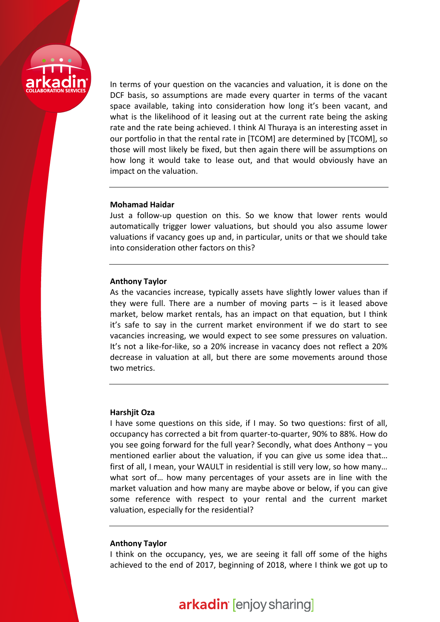

In terms of your question on the vacancies and valuation, it is done on the DCF basis, so assumptions are made every quarter in terms of the vacant space available, taking into consideration how long it's been vacant, and what is the likelihood of it leasing out at the current rate being the asking rate and the rate being achieved. I think Al Thuraya is an interesting asset in our portfolio in that the rental rate in [TCOM] are determined by [TCOM], so those will most likely be fixed, but then again there will be assumptions on how long it would take to lease out, and that would obviously have an impact on the valuation.

#### **Mohamad Haidar**

Just a follow-up question on this. So we know that lower rents would automatically trigger lower valuations, but should you also assume lower valuations if vacancy goes up and, in particular, units or that we should take into consideration other factors on this?

#### **Anthony Taylor**

As the vacancies increase, typically assets have slightly lower values than if they were full. There are a number of moving parts  $-$  is it leased above market, below market rentals, has an impact on that equation, but I think it's safe to say in the current market environment if we do start to see vacancies increasing, we would expect to see some pressures on valuation. It's not a like-for-like, so a 20% increase in vacancy does not reflect a 20% decrease in valuation at all, but there are some movements around those two metrics.

#### **Harshjit Oza**

I have some questions on this side, if I may. So two questions: first of all, occupancy has corrected a bit from quarter-to-quarter, 90% to 88%. How do you see going forward for the full year? Secondly, what does Anthony – you mentioned earlier about the valuation, if you can give us some idea that… first of all, I mean, your WAULT in residential is still very low, so how many… what sort of… how many percentages of your assets are in line with the market valuation and how many are maybe above or below, if you can give some reference with respect to your rental and the current market valuation, especially for the residential?

#### **Anthony Taylor**

I think on the occupancy, yes, we are seeing it fall off some of the highs achieved to the end of 2017, beginning of 2018, where I think we got up to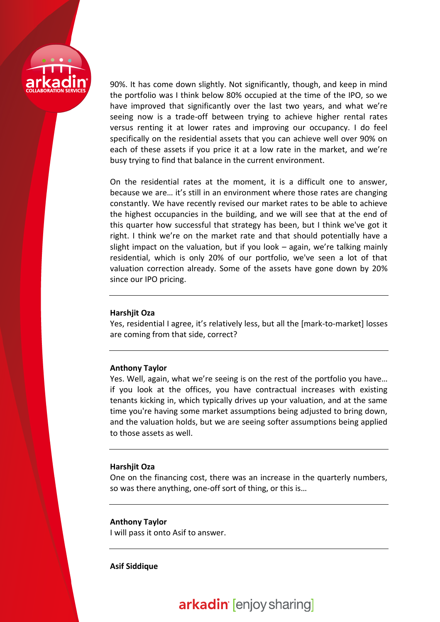

90%. It has come down slightly. Not significantly, though, and keep in mind the portfolio was I think below 80% occupied at the time of the IPO, so we have improved that significantly over the last two years, and what we're seeing now is a trade-off between trying to achieve higher rental rates versus renting it at lower rates and improving our occupancy. I do feel specifically on the residential assets that you can achieve well over 90% on each of these assets if you price it at a low rate in the market, and we're busy trying to find that balance in the current environment.

On the residential rates at the moment, it is a difficult one to answer, because we are… it's still in an environment where those rates are changing constantly. We have recently revised our market rates to be able to achieve the highest occupancies in the building, and we will see that at the end of this quarter how successful that strategy has been, but I think we've got it right. I think we're on the market rate and that should potentially have a slight impact on the valuation, but if you look – again, we're talking mainly residential, which is only 20% of our portfolio, we've seen a lot of that valuation correction already. Some of the assets have gone down by 20% since our IPO pricing.

#### **Harshjit Oza**

Yes, residential I agree, it's relatively less, but all the [mark-to-market] losses are coming from that side, correct?

#### **Anthony Taylor**

Yes. Well, again, what we're seeing is on the rest of the portfolio you have… if you look at the offices, you have contractual increases with existing tenants kicking in, which typically drives up your valuation, and at the same time you're having some market assumptions being adjusted to bring down, and the valuation holds, but we are seeing softer assumptions being applied to those assets as well.

#### **Harshjit Oza**

One on the financing cost, there was an increase in the quarterly numbers, so was there anything, one-off sort of thing, or this is…

#### **Anthony Taylor**

I will pass it onto Asif to answer.

#### **Asif Siddique**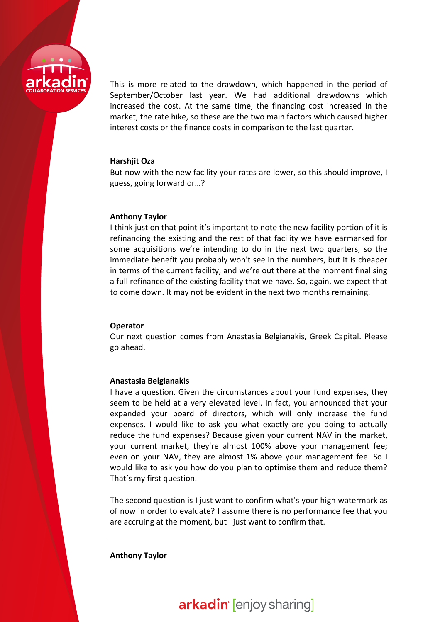

This is more related to the drawdown, which happened in the period of September/October last year. We had additional drawdowns which increased the cost. At the same time, the financing cost increased in the market, the rate hike, so these are the two main factors which caused higher interest costs or the finance costs in comparison to the last quarter.

#### **Harshjit Oza**

But now with the new facility your rates are lower, so this should improve, I guess, going forward or…?

#### **Anthony Taylor**

I think just on that point it's important to note the new facility portion of it is refinancing the existing and the rest of that facility we have earmarked for some acquisitions we're intending to do in the next two quarters, so the immediate benefit you probably won't see in the numbers, but it is cheaper in terms of the current facility, and we're out there at the moment finalising a full refinance of the existing facility that we have. So, again, we expect that to come down. It may not be evident in the next two months remaining.

#### **Operator**

Our next question comes from Anastasia Belgianakis, Greek Capital. Please go ahead.

#### **Anastasia Belgianakis**

I have a question. Given the circumstances about your fund expenses, they seem to be held at a very elevated level. In fact, you announced that your expanded your board of directors, which will only increase the fund expenses. I would like to ask you what exactly are you doing to actually reduce the fund expenses? Because given your current NAV in the market, your current market, they're almost 100% above your management fee; even on your NAV, they are almost 1% above your management fee. So I would like to ask you how do you plan to optimise them and reduce them? That's my first question.

The second question is I just want to confirm what's your high watermark as of now in order to evaluate? I assume there is no performance fee that you are accruing at the moment, but I just want to confirm that.

#### **Anthony Taylor**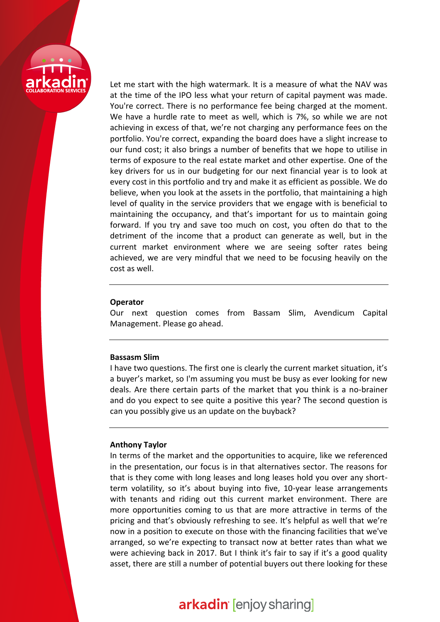

Let me start with the high watermark. It is a measure of what the NAV was at the time of the IPO less what your return of capital payment was made. You're correct. There is no performance fee being charged at the moment. We have a hurdle rate to meet as well, which is 7%, so while we are not achieving in excess of that, we're not charging any performance fees on the portfolio. You're correct, expanding the board does have a slight increase to our fund cost; it also brings a number of benefits that we hope to utilise in terms of exposure to the real estate market and other expertise. One of the key drivers for us in our budgeting for our next financial year is to look at every cost in this portfolio and try and make it as efficient as possible. We do believe, when you look at the assets in the portfolio, that maintaining a high level of quality in the service providers that we engage with is beneficial to maintaining the occupancy, and that's important for us to maintain going forward. If you try and save too much on cost, you often do that to the detriment of the income that a product can generate as well, but in the current market environment where we are seeing softer rates being achieved, we are very mindful that we need to be focusing heavily on the cost as well.

#### **Operator**

Our next question comes from Bassam Slim, Avendicum Capital Management. Please go ahead.

#### **Bassasm Slim**

I have two questions. The first one is clearly the current market situation, it's a buyer's market, so I'm assuming you must be busy as ever looking for new deals. Are there certain parts of the market that you think is a no-brainer and do you expect to see quite a positive this year? The second question is can you possibly give us an update on the buyback?

#### **Anthony Taylor**

In terms of the market and the opportunities to acquire, like we referenced in the presentation, our focus is in that alternatives sector. The reasons for that is they come with long leases and long leases hold you over any shortterm volatility, so it's about buying into five, 10-year lease arrangements with tenants and riding out this current market environment. There are more opportunities coming to us that are more attractive in terms of the pricing and that's obviously refreshing to see. It's helpful as well that we're now in a position to execute on those with the financing facilities that we've arranged, so we're expecting to transact now at better rates than what we were achieving back in 2017. But I think it's fair to say if it's a good quality asset, there are still a number of potential buyers out there looking for these